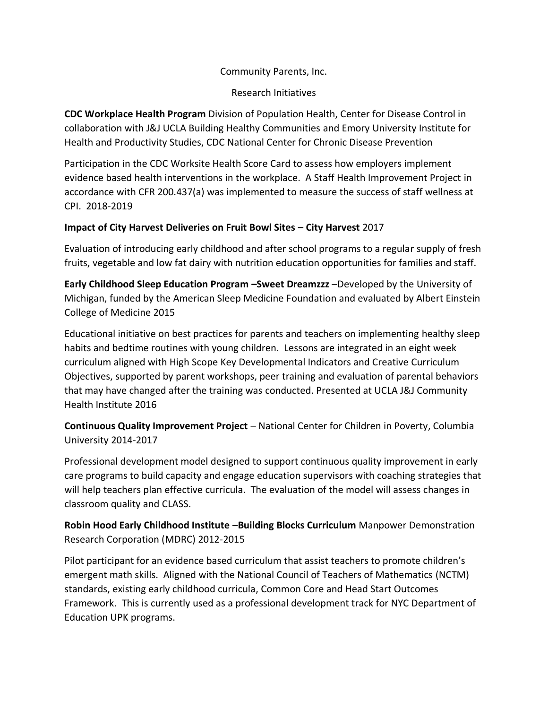# Community Parents, Inc.

# Research Initiatives

**CDC Workplace Health Program** Division of Population Health, Center for Disease Control in collaboration with J&J UCLA Building Healthy Communities and Emory University Institute for Health and Productivity Studies, CDC National Center for Chronic Disease Prevention

Participation in the CDC Worksite Health Score Card to assess how employers implement evidence based health interventions in the workplace. A Staff Health Improvement Project in accordance with CFR 200.437(a) was implemented to measure the success of staff wellness at CPI. 2018-2019

# **Impact of City Harvest Deliveries on Fruit Bowl Sites – City Harvest** 2017

Evaluation of introducing early childhood and after school programs to a regular supply of fresh fruits, vegetable and low fat dairy with nutrition education opportunities for families and staff.

**Early Childhood Sleep Education Program –Sweet Dreamzzz** –Developed by the University of Michigan, funded by the American Sleep Medicine Foundation and evaluated by Albert Einstein College of Medicine 2015

Educational initiative on best practices for parents and teachers on implementing healthy sleep habits and bedtime routines with young children. Lessons are integrated in an eight week curriculum aligned with High Scope Key Developmental Indicators and Creative Curriculum Objectives, supported by parent workshops, peer training and evaluation of parental behaviors that may have changed after the training was conducted. Presented at UCLA J&J Community Health Institute 2016

**Continuous Quality Improvement Project** – National Center for Children in Poverty, Columbia University 2014-2017

Professional development model designed to support continuous quality improvement in early care programs to build capacity and engage education supervisors with coaching strategies that will help teachers plan effective curricula. The evaluation of the model will assess changes in classroom quality and CLASS.

**Robin Hood Early Childhood Institute** –**Building Blocks Curriculum** Manpower Demonstration Research Corporation (MDRC) 2012-2015

Pilot participant for an evidence based curriculum that assist teachers to promote children's emergent math skills. Aligned with the National Council of Teachers of Mathematics (NCTM) standards, existing early childhood curricula, Common Core and Head Start Outcomes Framework. This is currently used as a professional development track for NYC Department of Education UPK programs.